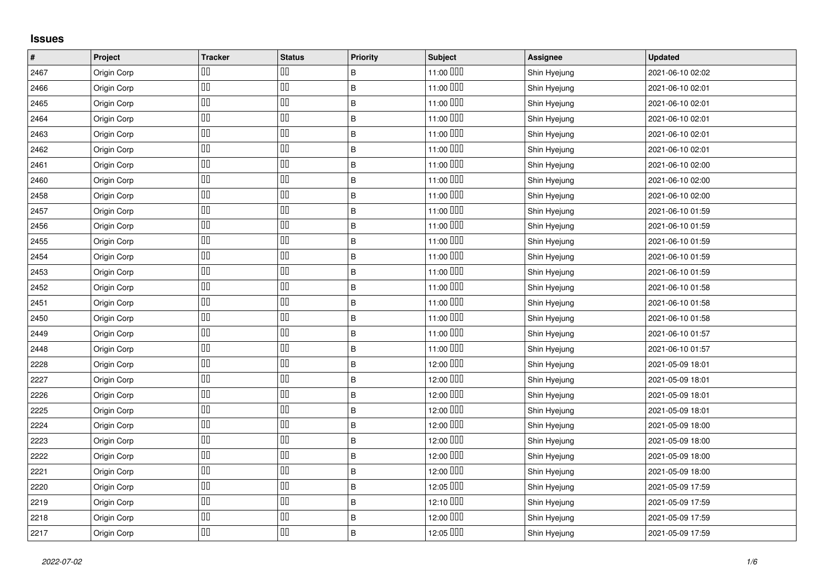## **Issues**

| $\vert$ # | Project     | <b>Tracker</b> | <b>Status</b> | <b>Priority</b> | Subject   | <b>Assignee</b> | <b>Updated</b>   |
|-----------|-------------|----------------|---------------|-----------------|-----------|-----------------|------------------|
| 2467      | Origin Corp | ◫              | ᅃ             | B               | 11:00 000 | Shin Hyejung    | 2021-06-10 02:02 |
| 2466      | Origin Corp | 吅              | $\Box\Box$    | $\sf B$         | 11:00 DDD | Shin Hyejung    | 2021-06-10 02:01 |
| 2465      | Origin Corp | $\Box\Box$     | 00            | $\sf B$         | 11:00 000 | Shin Hyejung    | 2021-06-10 02:01 |
| 2464      | Origin Corp | $\Box\Box$     | 00            | $\sf B$         | 11:00 000 | Shin Hyejung    | 2021-06-10 02:01 |
| 2463      | Origin Corp | $\Box\Box$     | OO            | $\mathsf B$     | 11:00 000 | Shin Hyejung    | 2021-06-10 02:01 |
| 2462      | Origin Corp | $\Box\Box$     | $\Box\Box$    | $\sf B$         | 11:00 000 | Shin Hyejung    | 2021-06-10 02:01 |
| 2461      | Origin Corp | $\Box\Box$     | 吅             | $\sf B$         | 11:00 DDD | Shin Hyejung    | 2021-06-10 02:00 |
| 2460      | Origin Corp | $\Box\Box$     | $\Box\Box$    | $\sf B$         | 11:00 000 | Shin Hyejung    | 2021-06-10 02:00 |
| 2458      | Origin Corp | $\Box\Box$     | OΟ            | $\sf B$         | 11:00 000 | Shin Hyejung    | 2021-06-10 02:00 |
| 2457      | Origin Corp | $\Box\Box$     | 吅             | $\sf B$         | 11:00 DDD | Shin Hyejung    | 2021-06-10 01:59 |
| 2456      | Origin Corp | $\Box\Box$     | $\Box\Box$    | $\sf B$         | 11:00 000 | Shin Hyejung    | 2021-06-10 01:59 |
| 2455      | Origin Corp | $\Box\Box$     | OΟ            | $\sf B$         | 11:00 DDD | Shin Hyejung    | 2021-06-10 01:59 |
| 2454      | Origin Corp | $\Box\Box$     | $\Box\Box$    | $\sf B$         | 11:00 000 | Shin Hyejung    | 2021-06-10 01:59 |
| 2453      | Origin Corp | $\Box\Box$     | $\Box\Box$    | $\sf B$         | 11:00 000 | Shin Hyejung    | 2021-06-10 01:59 |
| 2452      | Origin Corp | $\Box\Box$     | 吅             | $\sf B$         | 11:00 000 | Shin Hyejung    | 2021-06-10 01:58 |
| 2451      | Origin Corp | $\Box\Box$     | $\Box\Box$    | $\sf B$         | 11:00 000 | Shin Hyejung    | 2021-06-10 01:58 |
| 2450      | Origin Corp | 吅              | 吅             | $\sf B$         | 11:00 DDD | Shin Hyejung    | 2021-06-10 01:58 |
| 2449      | Origin Corp | $\Box\Box$     | 吅             | $\sf B$         | 11:00 000 | Shin Hyejung    | 2021-06-10 01:57 |
| 2448      | Origin Corp | 吅              | 00            | $\overline{B}$  | 11:00 000 | Shin Hyejung    | 2021-06-10 01:57 |
| 2228      | Origin Corp | $\Box\Box$     | 吅             | B               | 12:00 000 | Shin Hyejung    | 2021-05-09 18:01 |
| 2227      | Origin Corp | $\Box\Box$     | 吅             | $\sf B$         | 12:00 000 | Shin Hyejung    | 2021-05-09 18:01 |
| 2226      | Origin Corp | $\Box\Box$     | $\Box\Box$    | $\overline{B}$  | 12:00 000 | Shin Hyejung    | 2021-05-09 18:01 |
| 2225      | Origin Corp | $\Box\Box$     | 00            | $\sf B$         | 12:00 DDD | Shin Hyejung    | 2021-05-09 18:01 |
| 2224      | Origin Corp | 吅              | 吅             | $\sf B$         | 12:00 DDD | Shin Hyejung    | 2021-05-09 18:00 |
| 2223      | Origin Corp | $\Box\Box$     | $\Box\Box$    | $\sf B$         | 12:00 DDD | Shin Hyejung    | 2021-05-09 18:00 |
| 2222      | Origin Corp | $\Box\Box$     | $\Box\Box$    | $\sf B$         | 12:00 000 | Shin Hyejung    | 2021-05-09 18:00 |
| 2221      | Origin Corp | $\Box\Box$     | OΟ            | $\sf B$         | 12:00 DDD | Shin Hyejung    | 2021-05-09 18:00 |
| 2220      | Origin Corp | $\Box\Box$     | $\Box\Box$    | $\sf B$         | 12:05 000 | Shin Hyejung    | 2021-05-09 17:59 |
| 2219      | Origin Corp | $\Box\Box$     | OΟ            | $\sf B$         | 12:10 000 | Shin Hyejung    | 2021-05-09 17:59 |
| 2218      | Origin Corp | $\Box\Box$     | OΟ            | $\sf B$         | 12:00 000 | Shin Hyejung    | 2021-05-09 17:59 |
| 2217      | Origin Corp | $\Box\Box$     | 00            | $\overline{B}$  | 12:05 000 | Shin Hyejung    | 2021-05-09 17:59 |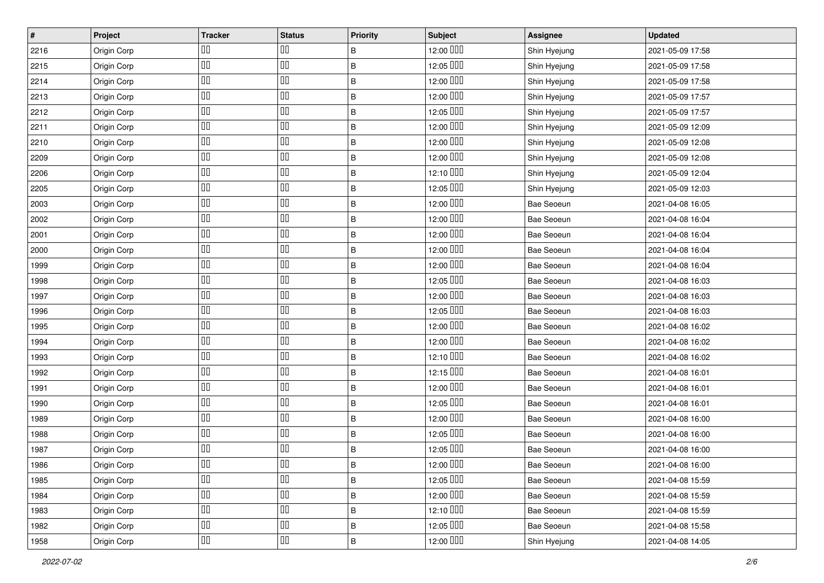| $\pmb{\#}$ | Project     | <b>Tracker</b> | <b>Status</b> | <b>Priority</b> | <b>Subject</b> | <b>Assignee</b>   | <b>Updated</b>   |
|------------|-------------|----------------|---------------|-----------------|----------------|-------------------|------------------|
| 2216       | Origin Corp | ◫▯             | 00            | В               | 12:00 DDD      | Shin Hyejung      | 2021-05-09 17:58 |
| 2215       | Origin Corp | OO             | $\Box\Box$    | $\sf B$         | 12:05 000      | Shin Hyejung      | 2021-05-09 17:58 |
| 2214       | Origin Corp | $\Box\Box$     | $\Box\Box$    | B               | 12:00 DDD      | Shin Hyejung      | 2021-05-09 17:58 |
| 2213       | Origin Corp | ◫▯             | $\Box\Box$    | $\sf B$         | 12:00 DDD      | Shin Hyejung      | 2021-05-09 17:57 |
| 2212       | Origin Corp | OO             | $\Box\Box$    | $\sf B$         | 12:05 000      | Shin Hyejung      | 2021-05-09 17:57 |
| 2211       | Origin Corp | OO             | $\Box\Box$    | B               | 12:00 DDD      | Shin Hyejung      | 2021-05-09 12:09 |
| 2210       | Origin Corp | 00             | 00            | $\sf B$         | 12:00 OUD      | Shin Hyejung      | 2021-05-09 12:08 |
| 2209       | Origin Corp | OO             | $\Box\Box$    | B               | 12:00 DDD      | Shin Hyejung      | 2021-05-09 12:08 |
| 2206       | Origin Corp | OΟ             | $\Box\Box$    | $\sf B$         | 12:10 DDD      | Shin Hyejung      | 2021-05-09 12:04 |
| 2205       | Origin Corp | OO             | $\Box\Box$    | $\sf B$         | 12:05 000      | Shin Hyejung      | 2021-05-09 12:03 |
| 2003       | Origin Corp | OO             | $\Box\Box$    | B               | 12:00 OUD      | <b>Bae Seoeun</b> | 2021-04-08 16:05 |
| 2002       | Origin Corp | 00             | $\Box\Box$    | B               | 12:00 OUD      | Bae Seoeun        | 2021-04-08 16:04 |
| 2001       | Origin Corp | 00             | $\Box\Box$    | $\sf B$         | 12:00 DDD      | Bae Seoeun        | 2021-04-08 16:04 |
| 2000       | Origin Corp | ◫▯             | $\Box\Box$    | $\sf B$         | 12:00 DDD      | Bae Seoeun        | 2021-04-08 16:04 |
| 1999       | Origin Corp | OO             | $\Box\Box$    | $\sf B$         | 12:00 OUD      | Bae Seoeun        | 2021-04-08 16:04 |
| 1998       | Origin Corp | $\Box\Box$     | $\Box\Box$    | B               | 12:05 000      | Bae Seoeun        | 2021-04-08 16:03 |
| 1997       | Origin Corp | 00             | $\Box\Box$    | $\sf B$         | 12:00 DDD      | Bae Seoeun        | 2021-04-08 16:03 |
| 1996       | Origin Corp | OΟ             | $\Box\Box$    | $\sf B$         | 12:05 000      | Bae Seoeun        | 2021-04-08 16:03 |
| 1995       | Origin Corp | OO             | $\Box\Box$    | B               | 12:00 DDD      | Bae Seoeun        | 2021-04-08 16:02 |
| 1994       | Origin Corp | 00             | $\Box\Box$    | B               | 12:00 OUD      | Bae Seoeun        | 2021-04-08 16:02 |
| 1993       | Origin Corp | OO             | $\Box\Box$    | B               | 12:10 DDD      | Bae Seoeun        | 2021-04-08 16:02 |
| 1992       | Origin Corp | ◫▯             | $\Box\Box$    | $\sf B$         | 12:15 000      | Bae Seoeun        | 2021-04-08 16:01 |
| 1991       | Origin Corp | OO             | $\Box\Box$    | $\sf B$         | 12:00 DDD      | Bae Seoeun        | 2021-04-08 16:01 |
| 1990       | Origin Corp | OO             | $\Box\Box$    | $\sf B$         | 12:05 OOO      | Bae Seoeun        | 2021-04-08 16:01 |
| 1989       | Origin Corp | $\Box\Box$     | $\Box\Box$    | $\sf B$         | 12:00 DDD      | Bae Seoeun        | 2021-04-08 16:00 |
| 1988       | Origin Corp | 00             | $\Box\Box$    | B               | 12:05 OOO      | Bae Seoeun        | 2021-04-08 16:00 |
| 1987       | Origin Corp | OO             | $\Box\Box$    | B               | 12:05 000      | Bae Seoeun        | 2021-04-08 16:00 |
| 1986       | Origin Corp | $\Box\Box$     | 00            | B               | 12:00 OOO      | Bae Seoeun        | 2021-04-08 16:00 |
| 1985       | Origin Corp | $\Box\Box$     | 00            | B               | 12:05 OOO      | Bae Seoeun        | 2021-04-08 15:59 |
| 1984       | Origin Corp | OO             | 00            | B               | 12:00 DDD      | Bae Seoeun        | 2021-04-08 15:59 |
| 1983       | Origin Corp | 00             | 00            | B               | 12:10 DDD      | Bae Seoeun        | 2021-04-08 15:59 |
| 1982       | Origin Corp | $\Box\Box$     | 00            | $\sf B$         | 12:05 OOO      | Bae Seoeun        | 2021-04-08 15:58 |
| 1958       | Origin Corp | 00             | 00            | $\sf B$         | 12:00 OUD      | Shin Hyejung      | 2021-04-08 14:05 |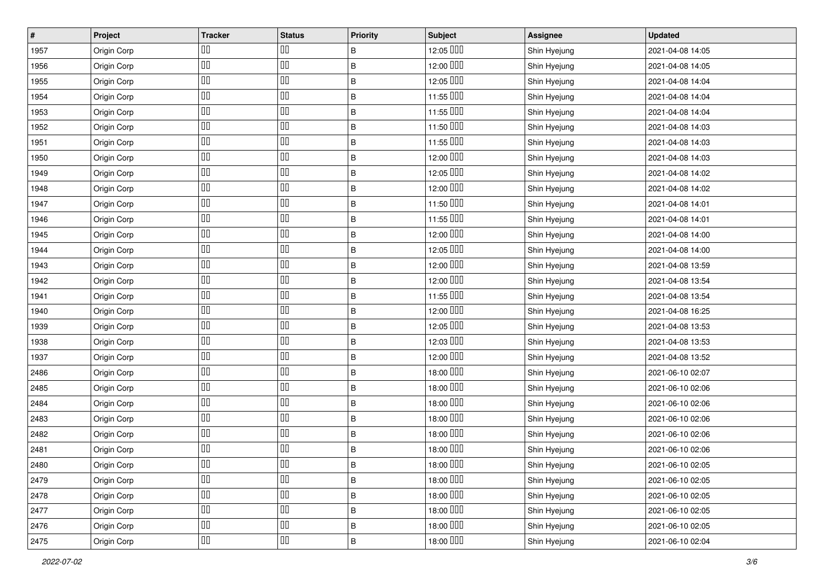| $\pmb{\#}$ | Project     | <b>Tracker</b> | <b>Status</b> | <b>Priority</b> | <b>Subject</b> | <b>Assignee</b> | <b>Updated</b>   |
|------------|-------------|----------------|---------------|-----------------|----------------|-----------------|------------------|
| 1957       | Origin Corp | ◫▯             | 00            | В               | 12:05 OOO      | Shin Hyejung    | 2021-04-08 14:05 |
| 1956       | Origin Corp | 00             | $\Box\Box$    | $\sf B$         | 12:00 DDD      | Shin Hyejung    | 2021-04-08 14:05 |
| 1955       | Origin Corp | $\Box\Box$     | $\Box\Box$    | B               | 12:05 OOO      | Shin Hyejung    | 2021-04-08 14:04 |
| 1954       | Origin Corp | ◫▯             | $\Box\Box$    | $\sf B$         | 11:55 000      | Shin Hyejung    | 2021-04-08 14:04 |
| 1953       | Origin Corp | OO             | $\Box\Box$    | $\sf B$         | 11:55 000      | Shin Hyejung    | 2021-04-08 14:04 |
| 1952       | Origin Corp | OO             | $\Box\Box$    | B               | 11:50 DDD      | Shin Hyejung    | 2021-04-08 14:03 |
| 1951       | Origin Corp | $\Box$         | $\Box\Box$    | B               | 11:55 000      | Shin Hyejung    | 2021-04-08 14:03 |
| 1950       | Origin Corp | OO             | $\Box\Box$    | B               | 12:00 DDD      | Shin Hyejung    | 2021-04-08 14:03 |
| 1949       | Origin Corp | OΟ             | $\Box\Box$    | $\sf B$         | 12:05 000      | Shin Hyejung    | 2021-04-08 14:02 |
| 1948       | Origin Corp | OO             | $\Box\Box$    | $\sf B$         | 12:00 DDD      | Shin Hyejung    | 2021-04-08 14:02 |
| 1947       | Origin Corp | OO             | $\Box\Box$    | B               | 11:50 000      | Shin Hyejung    | 2021-04-08 14:01 |
| 1946       | Origin Corp | 00             | $\Box\Box$    | B               | 11:55 000      | Shin Hyejung    | 2021-04-08 14:01 |
| 1945       | Origin Corp | ◫▯             | $\Box\Box$    | $\sf B$         | 12:00 DDD      | Shin Hyejung    | 2021-04-08 14:00 |
| 1944       | Origin Corp | ◫▯             | $\Box\Box$    | $\sf B$         | 12:05 000      | Shin Hyejung    | 2021-04-08 14:00 |
| 1943       | Origin Corp | OO             | $\Box\Box$    | $\sf B$         | 12:00 DDD      | Shin Hyejung    | 2021-04-08 13:59 |
| 1942       | Origin Corp | $\Box\Box$     | $\Box\Box$    | B               | 12:00 DDD      | Shin Hyejung    | 2021-04-08 13:54 |
| 1941       | Origin Corp | 00             | $\Box\Box$    | B               | 11:55 000      | Shin Hyejung    | 2021-04-08 13:54 |
| 1940       | Origin Corp | 00             | $\Box\Box$    | $\sf B$         | 12:00 OUD      | Shin Hyejung    | 2021-04-08 16:25 |
| 1939       | Origin Corp | 00             | $\Box\Box$    | B               | 12:05 000      | Shin Hyejung    | 2021-04-08 13:53 |
| 1938       | Origin Corp | 00             | $\Box\Box$    | B               | 12:03 000      | Shin Hyejung    | 2021-04-08 13:53 |
| 1937       | Origin Corp | 00             | $\Box\Box$    | B               | 12:00 DDD      | Shin Hyejung    | 2021-04-08 13:52 |
| 2486       | Origin Corp | ◫▯             | $\Box\Box$    | $\sf B$         | 18:00 DDD      | Shin Hyejung    | 2021-06-10 02:07 |
| 2485       | Origin Corp | OO             | $\Box\Box$    | $\sf B$         | 18:00 DDD      | Shin Hyejung    | 2021-06-10 02:06 |
| 2484       | Origin Corp | OO             | $\Box\Box$    | $\sf B$         | 18:00 DDD      | Shin Hyejung    | 2021-06-10 02:06 |
| 2483       | Origin Corp | 00             | $\Box\Box$    | $\sf B$         | 18:00 DDD      | Shin Hyejung    | 2021-06-10 02:06 |
| 2482       | Origin Corp | 00             | $\Box\Box$    | B               | 18:00 DDD      | Shin Hyejung    | 2021-06-10 02:06 |
| 2481       | Origin Corp | 00             | $\Box\Box$    | B               | 18:00 DDD      | Shin Hyejung    | 2021-06-10 02:06 |
| 2480       | Origin Corp | $\Box\Box$     | 00            | B               | 18:00 DOI      | Shin Hyejung    | 2021-06-10 02:05 |
| 2479       | Origin Corp | $\Box\Box$     | 00            | B               | 18:00 DDD      | Shin Hyejung    | 2021-06-10 02:05 |
| 2478       | Origin Corp | OO             | 00            | B               | 18:00 DDD      | Shin Hyejung    | 2021-06-10 02:05 |
| 2477       | Origin Corp | 00             | 00            | B               | 18:00 DDD      | Shin Hyejung    | 2021-06-10 02:05 |
| 2476       | Origin Corp | $\Box\Box$     | 00            | $\sf B$         | 18:00 OUD      | Shin Hyejung    | 2021-06-10 02:05 |
| 2475       | Origin Corp | 00             | 00            | $\sf B$         | 18:00 OUD      | Shin Hyejung    | 2021-06-10 02:04 |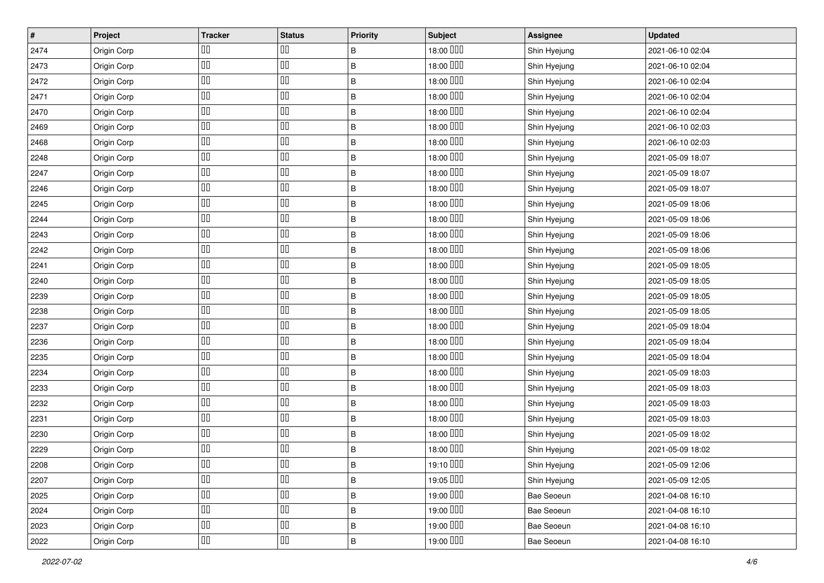| $\vert$ # | Project     | <b>Tracker</b> | <b>Status</b> | <b>Priority</b> | Subject   | <b>Assignee</b> | <b>Updated</b>   |
|-----------|-------------|----------------|---------------|-----------------|-----------|-----------------|------------------|
| 2474      | Origin Corp | 00             | OO            | В               | 18:00 DOD | Shin Hyejung    | 2021-06-10 02:04 |
| 2473      | Origin Corp | ◫              | OO            | B               | 18:00 000 | Shin Hyejung    | 2021-06-10 02:04 |
| 2472      | Origin Corp | ◫              | $\Box\Box$    | B               | 18:00 000 | Shin Hyejung    | 2021-06-10 02:04 |
| 2471      | Origin Corp | ◫              | $\Box\Box$    | B               | 18:00 DDD | Shin Hyejung    | 2021-06-10 02:04 |
| 2470      | Origin Corp | ◫              | $\Box$        | $\sf B$         | 18:00 000 | Shin Hyejung    | 2021-06-10 02:04 |
| 2469      | Origin Corp | ◫▯             | $\Box\Box$    | $\sf B$         | 18:00 000 | Shin Hyejung    | 2021-06-10 02:03 |
| 2468      | Origin Corp | ◫              | 吅             | B               | 18:00 DDD | Shin Hyejung    | 2021-06-10 02:03 |
| 2248      | Origin Corp | ◫              | $\Box$        | B               | 18:00 DDD | Shin Hyejung    | 2021-05-09 18:07 |
| 2247      | Origin Corp | ◫▯             | $\Box\Box$    | $\sf B$         | 18:00 000 | Shin Hyejung    | 2021-05-09 18:07 |
| 2246      | Origin Corp | ᅃ              | OO            | $\sf B$         | 18:00 000 | Shin Hyejung    | 2021-05-09 18:07 |
| 2245      | Origin Corp | ◫▯             | $\Box\Box$    | B               | 18:00 DDD | Shin Hyejung    | 2021-05-09 18:06 |
| 2244      | Origin Corp | ◫              | $\Box$        | $\sf B$         | 18:00 000 | Shin Hyejung    | 2021-05-09 18:06 |
| 2243      | Origin Corp | ◫              | $\Box$        | $\sf B$         | 18:00 DDD | Shin Hyejung    | 2021-05-09 18:06 |
| 2242      | Origin Corp | ◫▯             | $\Box\Box$    | B               | 18:00 000 | Shin Hyejung    | 2021-05-09 18:06 |
| 2241      | Origin Corp | ᅃ              | $\Box$        | B               | 18:00 000 | Shin Hyejung    | 2021-05-09 18:05 |
| 2240      | Origin Corp | 00             | $\Box\Box$    | B               | 18:00 000 | Shin Hyejung    | 2021-05-09 18:05 |
| 2239      | Origin Corp | ◫              | $\Box\Box$    | B               | 18:00 DDD | Shin Hyejung    | 2021-05-09 18:05 |
| 2238      | Origin Corp | ᅃ              | $\Box$        | $\sf B$         | 18:00 DDD | Shin Hyejung    | 2021-05-09 18:05 |
| 2237      | Origin Corp | ◫              | $\Box$        | $\sf B$         | 18:00 000 | Shin Hyejung    | 2021-05-09 18:04 |
| 2236      | Origin Corp | ᅃ              | OO            | $\, {\sf B}$    | 18:00 000 | Shin Hyejung    | 2021-05-09 18:04 |
| 2235      | Origin Corp | ◫              | $\Box$        | B               | 18:00 DDD | Shin Hyejung    | 2021-05-09 18:04 |
| 2234      | Origin Corp | ◫▯             | $\Box\Box$    | $\sf B$         | 18:00 DDD | Shin Hyejung    | 2021-05-09 18:03 |
| 2233      | Origin Corp | ◫              | $\Box$        | $\sf B$         | 18:00 DDD | Shin Hyejung    | 2021-05-09 18:03 |
| 2232      | Origin Corp | ◫▯             | $\Box$        | B               | 18:00 DDD | Shin Hyejung    | 2021-05-09 18:03 |
| 2231      | Origin Corp | ◫              | $\Box$        | $\sf B$         | 18:00 000 | Shin Hyejung    | 2021-05-09 18:03 |
| 2230      | Origin Corp | ◫▯             | $\Box$        | B               | 18:00 DDD | Shin Hyejung    | 2021-05-09 18:02 |
| 2229      | Origin Corp | ◫              | $\Box\Box$    | $\sf B$         | 18:00 DDD | Shin Hyejung    | 2021-05-09 18:02 |
| 2208      | Origin Corp | OO             | 00            | $\sf B$         | 19:10 000 | Shin Hyejung    | 2021-05-09 12:06 |
| 2207      | Origin Corp | $\Box\Box$     | $\Box\Box$    | B               | 19:05 OOO | Shin Hyejung    | 2021-05-09 12:05 |
| 2025      | Origin Corp | $\Box\Box$     | $\Box\Box$    | $\sf B$         | 19:00 DDD | Bae Seoeun      | 2021-04-08 16:10 |
| 2024      | Origin Corp | ᅃ              | OO            | B               | 19:00 DDD | Bae Seoeun      | 2021-04-08 16:10 |
| 2023      | Origin Corp | 00             | $\Box$        | $\sf B$         | 19:00 OOO | Bae Seoeun      | 2021-04-08 16:10 |
| 2022      | Origin Corp | OO             | 吅             | $\, {\bf B}$    | 19:00 DDD | Bae Seoeun      | 2021-04-08 16:10 |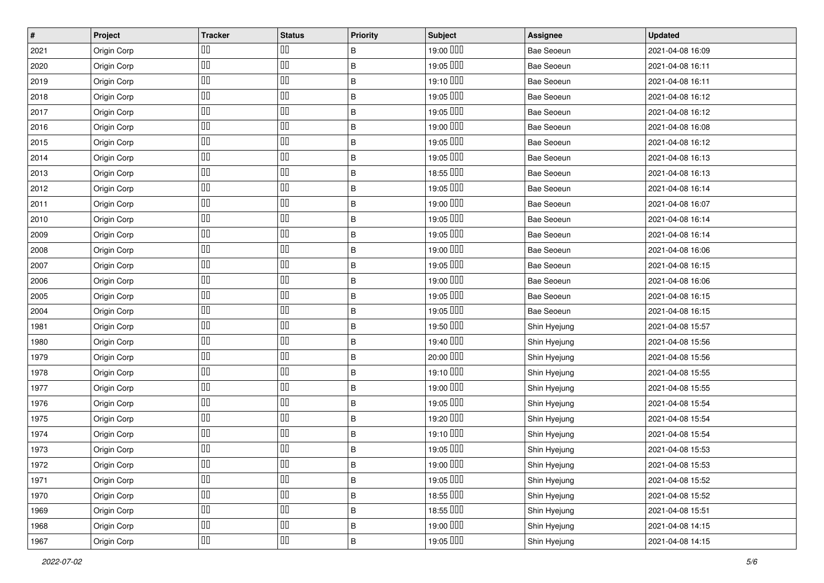| $\vert$ # | Project     | <b>Tracker</b> | <b>Status</b> | <b>Priority</b> | Subject   | <b>Assignee</b> | <b>Updated</b>   |
|-----------|-------------|----------------|---------------|-----------------|-----------|-----------------|------------------|
| 2021      | Origin Corp | ◫▯             | OO            | В               | 19:00 000 | Bae Seoeun      | 2021-04-08 16:09 |
| 2020      | Origin Corp | ◫              | $\Box\Box$    | $\sf B$         | 19:05 000 | Bae Seoeun      | 2021-04-08 16:11 |
| 2019      | Origin Corp | ◫              | $\Box$        | B               | 19:10 000 | Bae Seoeun      | 2021-04-08 16:11 |
| 2018      | Origin Corp | ◫              | $\Box\Box$    | $\sf B$         | 19:05 000 | Bae Seoeun      | 2021-04-08 16:12 |
| 2017      | Origin Corp | 00             | $\Box$        | $\sf B$         | 19:05 000 | Bae Seoeun      | 2021-04-08 16:12 |
| 2016      | Origin Corp | ◫              | $\Box$        | B               | 19:00 000 | Bae Seoeun      | 2021-04-08 16:08 |
| 2015      | Origin Corp | ◫              | $\Box$        | B               | 19:05 000 | Bae Seoeun      | 2021-04-08 16:12 |
| 2014      | Origin Corp | ◫              | $\Box\Box$    | $\sf B$         | 19:05 000 | Bae Seoeun      | 2021-04-08 16:13 |
| 2013      | Origin Corp | ◫▯             | $\Box\Box$    | $\sf B$         | 18:55 000 | Bae Seoeun      | 2021-04-08 16:13 |
| 2012      | Origin Corp | 00             | OO            | $\sf B$         | 19:05 000 | Bae Seoeun      | 2021-04-08 16:14 |
| 2011      | Origin Corp | OO             | $\Box$        | $\sf B$         | 19:00 000 | Bae Seoeun      | 2021-04-08 16:07 |
| 2010      | Origin Corp | ◫              | $\Box\Box$    | $\sf B$         | 19:05 000 | Bae Seoeun      | 2021-04-08 16:14 |
| 2009      | Origin Corp | 00             | $\Box$        | $\sf B$         | 19:05 000 | Bae Seoeun      | 2021-04-08 16:14 |
| 2008      | Origin Corp | ◫▯             | $\Box$        | $\sf B$         | 19:00 000 | Bae Seoeun      | 2021-04-08 16:06 |
| 2007      | Origin Corp | ᅃ              | OO            | $\sf B$         | 19:05 000 | Bae Seoeun      | 2021-04-08 16:15 |
| 2006      | Origin Corp | ◫              | $\Box\Box$    | B               | 19:00 000 | Bae Seoeun      | 2021-04-08 16:06 |
| 2005      | Origin Corp | ◫▯             | $\Box\Box$    | B               | 19:05 000 | Bae Seoeun      | 2021-04-08 16:15 |
| 2004      | Origin Corp | ◫              | $\Box$        | $\sf B$         | 19:05 000 | Bae Seoeun      | 2021-04-08 16:15 |
| 1981      | Origin Corp | ◫              | $\Box\Box$    | B               | 19:50 OOO | Shin Hyejung    | 2021-04-08 15:57 |
| 1980      | Origin Corp | ◫              | $\Box\Box$    | B               | 19:40 000 | Shin Hyejung    | 2021-04-08 15:56 |
| 1979      | Origin Corp | ◫              | $\Box\Box$    | B               | 20:00 000 | Shin Hyejung    | 2021-04-08 15:56 |
| 1978      | Origin Corp | ◫▯             | $\Box\Box$    | $\sf B$         | 19:10 000 | Shin Hyejung    | 2021-04-08 15:55 |
| 1977      | Origin Corp | ◫              | $\Box\Box$    | $\sf B$         | 19:00 000 | Shin Hyejung    | 2021-04-08 15:55 |
| 1976      | Origin Corp | ◫▯             | OO            | $\sf B$         | 19:05 000 | Shin Hyejung    | 2021-04-08 15:54 |
| 1975      | Origin Corp | ◫              | $\Box\Box$    | $\sf B$         | 19:20 000 | Shin Hyejung    | 2021-04-08 15:54 |
| 1974      | Origin Corp | ᅃ              | $\Box$        | B               | 19:10 DDD | Shin Hyejung    | 2021-04-08 15:54 |
| 1973      | Origin Corp | 00             | $\Box\Box$    | $\sf B$         | 19:05 000 | Shin Hyejung    | 2021-04-08 15:53 |
| 1972      | Origin Corp | OO             | $\Box\Box$    | $\sf B$         | 19:00 OOO | Shin Hyejung    | 2021-04-08 15:53 |
| 1971      | Origin Corp | $\Box\Box$     | $\Box\Box$    | B               | 19:05 OOO | Shin Hyejung    | 2021-04-08 15:52 |
| 1970      | Origin Corp | OO             | $\Box\Box$    | $\, {\bf B}$    | 18:55 000 | Shin Hyejung    | 2021-04-08 15:52 |
| 1969      | Origin Corp | ◫              | $\Box$        | $\, {\bf B}$    | 18:55 000 | Shin Hyejung    | 2021-04-08 15:51 |
| 1968      | Origin Corp | $\Box\Box$     | $\Box\Box$    | $\, {\bf B}$    | 19:00 OOO | Shin Hyejung    | 2021-04-08 14:15 |
| 1967      | Origin Corp | OO             | $\Box\Box$    | $\sf B$         | 19:05 000 | Shin Hyejung    | 2021-04-08 14:15 |